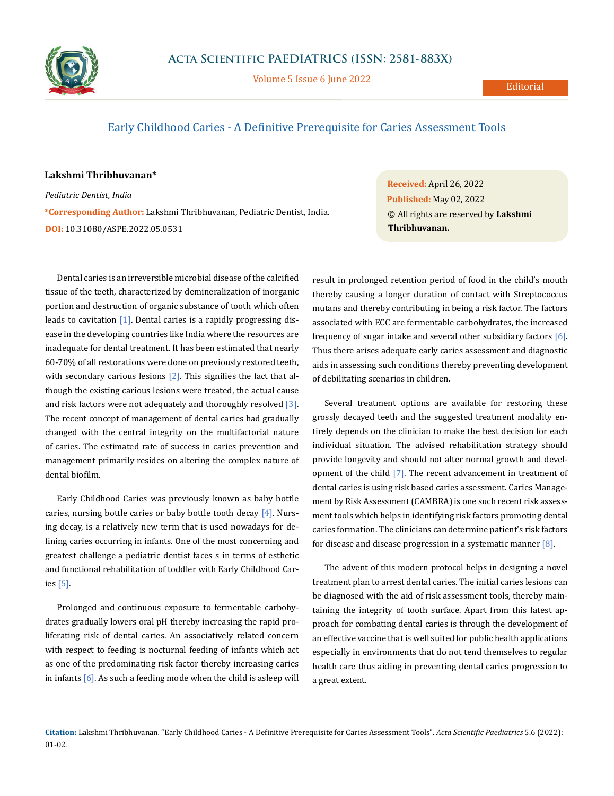

Volume 5 Issue 6 June 2022

## Early Childhood Caries - A Definitive Prerequisite for Caries Assessment Tools

## **Lakshmi Thribhuvanan\***

*Pediatric Dentist, India* **\*Corresponding Author:** Lakshmi Thribhuvanan, Pediatric Dentist, India. **DOI:** [10.31080/ASPE.2022.05.0531](https://actascientific.com/ASPE/pdf/ASPE-05-0531.pdf)

Dental caries is an irreversible microbial disease of the calcified tissue of the teeth, characterized by demineralization of inorganic portion and destruction of organic substance of tooth which often leads to cavitation [1]. Dental caries is a rapidly progressing disease in the developing countries like India where the resources are inadequate for dental treatment. It has been estimated that nearly 60-70% of all restorations were done on previously restored teeth, with secondary carious lesions  $[2]$ . This signifies the fact that although the existing carious lesions were treated, the actual cause and risk factors were not adequately and thoroughly resolved  $[3]$ . The recent concept of management of dental caries had gradually changed with the central integrity on the multifactorial nature of caries. The estimated rate of success in caries prevention and management primarily resides on altering the complex nature of dental biofilm.

Early Childhood Caries was previously known as baby bottle caries, nursing bottle caries or baby bottle tooth decay [4]. Nursing decay, is a relatively new term that is used nowadays for defining caries occurring in infants. One of the most concerning and greatest challenge a pediatric dentist faces s in terms of esthetic and functional rehabilitation of toddler with Early Childhood Caries [5].

Prolonged and continuous exposure to fermentable carbohydrates gradually lowers oral pH thereby increasing the rapid proliferating risk of dental caries. An associatively related concern with respect to feeding is nocturnal feeding of infants which act as one of the predominating risk factor thereby increasing caries in infants  $[6]$ . As such a feeding mode when the child is asleep will **Received:** April 26, 2022 **Published:** May 02, 2022 © All rights are reserved by **Lakshmi Thribhuvanan.**

result in prolonged retention period of food in the child's mouth thereby causing a longer duration of contact with Streptococcus mutans and thereby contributing in being a risk factor. The factors associated with ECC are fermentable carbohydrates, the increased frequency of sugar intake and several other subsidiary factors  $[6]$ . Thus there arises adequate early caries assessment and diagnostic aids in assessing such conditions thereby preventing development of debilitating scenarios in children.

Several treatment options are available for restoring these grossly decayed teeth and the suggested treatment modality entirely depends on the clinician to make the best decision for each individual situation. The advised rehabilitation strategy should provide longevity and should not alter normal growth and development of the child [7]. The recent advancement in treatment of dental caries is using risk based caries assessment. Caries Management by Risk Assessment (CAMBRA) is one such recent risk assessment tools which helps in identifying risk factors promoting dental caries formation. The clinicians can determine patient's risk factors for disease and disease progression in a systematic manner  $[8]$ .

The advent of this modern protocol helps in designing a novel treatment plan to arrest dental caries. The initial caries lesions can be diagnosed with the aid of risk assessment tools, thereby maintaining the integrity of tooth surface. Apart from this latest approach for combating dental caries is through the development of an effective vaccine that is well suited for public health applications especially in environments that do not tend themselves to regular health care thus aiding in preventing dental caries progression to a great extent.

**Citation:** Lakshmi Thribhuvanan*.* "Early Childhood Caries - A Definitive Prerequisite for Caries Assessment Tools". *Acta Scientific Paediatrics* 5.6 (2022): 01-02.